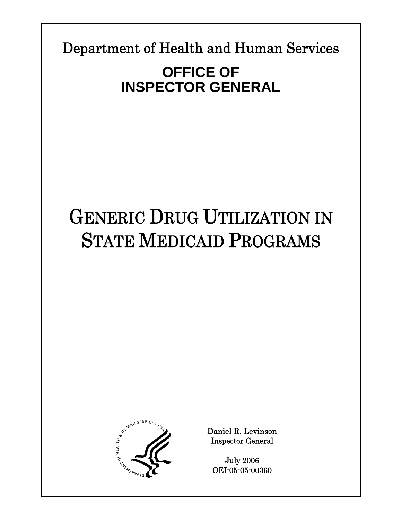Department of Health and Human Services

**Report Template Update = 04-30-05\_rev.12** 

# **OFFICE OF INSPECTOR GENERAL**

# GENERIC DRUG UTILIZATION IN STATE MEDICAID PROGRAMS



Daniel R. Levinson Inspector General

July 2006 OEI-05-05-00360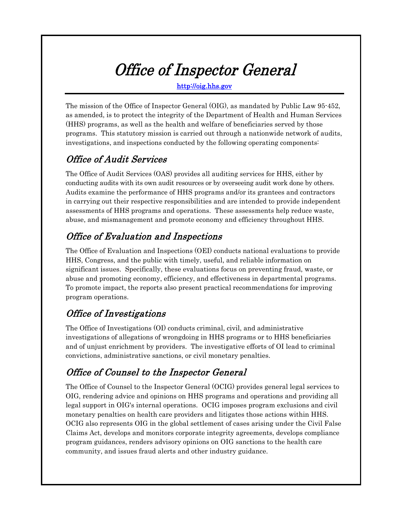# Office of Inspector General

http://oig.hhs.gov

The mission of the Office of Inspector General (OIG), as mandated by Public Law 95-452, as amended, is to protect the integrity of the Department of Health and Human Services (HHS) programs, as well as the health and welfare of beneficiaries served by those programs. This statutory mission is carried out through a nationwide network of audits, investigations, and inspections conducted by the following operating components:

### Office of Audit Services

The Office of Audit Services (OAS) provides all auditing services for HHS, either by conducting audits with its own audit resources or by overseeing audit work done by others. Audits examine the performance of HHS programs and/or its grantees and contractors in carrying out their respective responsibilities and are intended to provide independent assessments of HHS programs and operations. These assessments help reduce waste, abuse, and mismanagement and promote economy and efficiency throughout HHS.

## Office of Evaluation and Inspections

The Office of Evaluation and Inspections (OEI) conducts national evaluations to provide HHS, Congress, and the public with timely, useful, and reliable information on significant issues. Specifically, these evaluations focus on preventing fraud, waste, or abuse and promoting economy, efficiency, and effectiveness in departmental programs. To promote impact, the reports also present practical recommendations for improving program operations.

## Office of Investigations

The Office of Investigations (OI) conducts criminal, civil, and administrative investigations of allegations of wrongdoing in HHS programs or to HHS beneficiaries and of unjust enrichment by providers. The investigative efforts of OI lead to criminal convictions, administrative sanctions, or civil monetary penalties.

### Office of Counsel to the Inspector General

The Office of Counsel to the Inspector General (OCIG) provides general legal services to OIG, rendering advice and opinions on HHS programs and operations and providing all legal support in OIG's internal operations. OCIG imposes program exclusions and civil monetary penalties on health care providers and litigates those actions within HHS. OCIG also represents OIG in the global settlement of cases arising under the Civil False Claims Act, develops and monitors corporate integrity agreements, develops compliance program guidances, renders advisory opinions on OIG sanctions to the health care community, and issues fraud alerts and other industry guidance.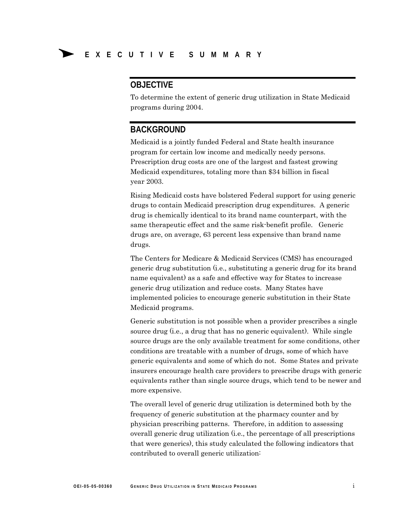#### **OBJECTIVE**

To determine the extent of generic drug utilization in State Medicaid programs during 2004.

#### **BACKGROUND**

Medicaid is a jointly funded Federal and State health insurance program for certain low income and medically needy persons. Prescription drug costs are one of the largest and fastest growing Medicaid expenditures, totaling more than \$34 billion in fiscal year 2003.

Rising Medicaid costs have bolstered Federal support for using generic drugs to contain Medicaid prescription drug expenditures. A generic drug is chemically identical to its brand name counterpart, with the same therapeutic effect and the same risk-benefit profile. Generic drugs are, on average, 63 percent less expensive than brand name drugs.

The Centers for Medicare & Medicaid Services (CMS) has encouraged generic drug substitution (i.e., substituting a generic drug for its brand name equivalent) as a safe and effective way for States to increase generic drug utilization and reduce costs. Many States have implemented policies to encourage generic substitution in their State Medicaid programs.

Generic substitution is not possible when a provider prescribes a single source drug (i.e., a drug that has no generic equivalent). While single source drugs are the only available treatment for some conditions, other conditions are treatable with a number of drugs, some of which have generic equivalents and some of which do not. Some States and private insurers encourage health care providers to prescribe drugs with generic equivalents rather than single source drugs, which tend to be newer and more expensive.

The overall level of generic drug utilization is determined both by the frequency of generic substitution at the pharmacy counter and by physician prescribing patterns. Therefore, in addition to assessing overall generic drug utilization (i.e., the percentage of all prescriptions that were generics), this study calculated the following indicators that contributed to overall generic utilization: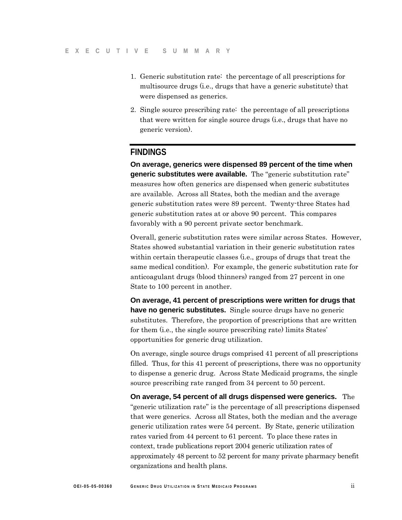- 1. Generic substitution rate: the percentage of all prescriptions for multisource drugs (i.e., drugs that have a generic substitute) that were dispensed as generics.
- 2. Single source prescribing rate: the percentage of all prescriptions that were written for single source drugs (i.e., drugs that have no generic version).

#### **FINDINGS**

**On average, generics were dispensed 89 percent of the time when generic substitutes were available.** The "generic substitution rate" measures how often generics are dispensed when generic substitutes are available. Across all States, both the median and the average generic substitution rates were 89 percent. Twenty-three States had generic substitution rates at or above 90 percent. This compares favorably with a 90 percent private sector benchmark.

Overall, generic substitution rates were similar across States. However, States showed substantial variation in their generic substitution rates within certain therapeutic classes (i.e., groups of drugs that treat the same medical condition). For example, the generic substitution rate for anticoagulant drugs (blood thinners) ranged from 27 percent in one State to 100 percent in another.

**On average, 41 percent of prescriptions were written for drugs that have no generic substitutes.** Single source drugs have no generic substitutes. Therefore, the proportion of prescriptions that are written for them (i.e., the single source prescribing rate) limits States' opportunities for generic drug utilization.

On average, single source drugs comprised 41 percent of all prescriptions filled. Thus, for this 41 percent of prescriptions, there was no opportunity to dispense a generic drug. Across State Medicaid programs, the single source prescribing rate ranged from 34 percent to 50 percent.

**On average, 54 percent of all drugs dispensed were generics.** The "generic utilization rate" is the percentage of all prescriptions dispensed that were generics. Across all States, both the median and the average generic utilization rates were 54 percent. By State, generic utilization rates varied from 44 percent to 61 percent. To place these rates in context, trade publications report 2004 generic utilization rates of approximately 48 percent to 52 percent for many private pharmacy benefit organizations and health plans.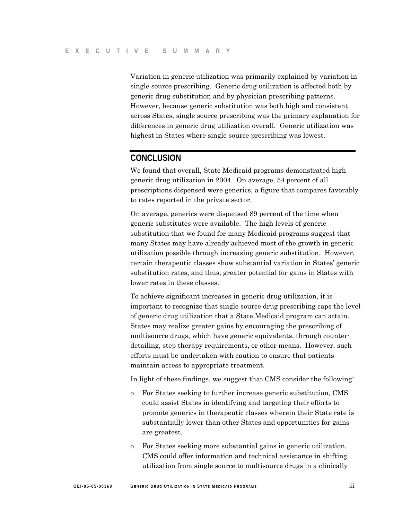Variation in generic utilization was primarily explained by variation in single source prescribing. Generic drug utilization is affected both by generic drug substitution and by physician prescribing patterns. However, because generic substitution was both high and consistent across States, single source prescribing was the primary explanation for differences in generic drug utilization overall. Generic utilization was highest in States where single source prescribing was lowest.

#### **CONCLUSION**

We found that overall, State Medicaid programs demonstrated high generic drug utilization in 2004. On average, 54 percent of all prescriptions dispensed were generics, a figure that compares favorably to rates reported in the private sector.

On average, generics were dispensed 89 percent of the time when generic substitutes were available. The high levels of generic substitution that we found for many Medicaid programs suggest that many States may have already achieved most of the growth in generic utilization possible through increasing generic substitution. However, certain therapeutic classes show substantial variation in States' generic substitution rates, and thus, greater potential for gains in States with lower rates in these classes.

To achieve significant increases in generic drug utilization, it is important to recognize that single source drug prescribing caps the level of generic drug utilization that a State Medicaid program can attain. States may realize greater gains by encouraging the prescribing of multisource drugs, which have generic equivalents, through counterdetailing, step therapy requirements, or other means. However, such efforts must be undertaken with caution to ensure that patients maintain access to appropriate treatment.

In light of these findings, we suggest that CMS consider the following:

- o For States seeking to further increase generic substitution, CMS could assist States in identifying and targeting their efforts to promote generics in therapeutic classes wherein their State rate is substantially lower than other States and opportunities for gains are greatest.
- o For States seeking more substantial gains in generic utilization, CMS could offer information and technical assistance in shifting utilization from single source to multisource drugs in a clinically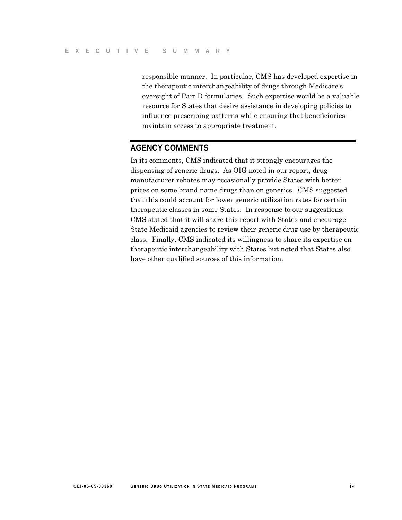responsible manner. In particular, CMS has developed expertise in the therapeutic interchangeability of drugs through Medicare's oversight of Part D formularies. Such expertise would be a valuable resource for States that desire assistance in developing policies to influence prescribing patterns while ensuring that beneficiaries maintain access to appropriate treatment.

#### **AGENCY COMMENTS**

In its comments, CMS indicated that it strongly encourages the dispensing of generic drugs. As OIG noted in our report, drug manufacturer rebates may occasionally provide States with better prices on some brand name drugs than on generics. CMS suggested that this could account for lower generic utilization rates for certain therapeutic classes in some States. In response to our suggestions, CMS stated that it will share this report with States and encourage State Medicaid agencies to review their generic drug use by therapeutic class. Finally, CMS indicated its willingness to share its expertise on therapeutic interchangeability with States but noted that States also have other qualified sources of this information.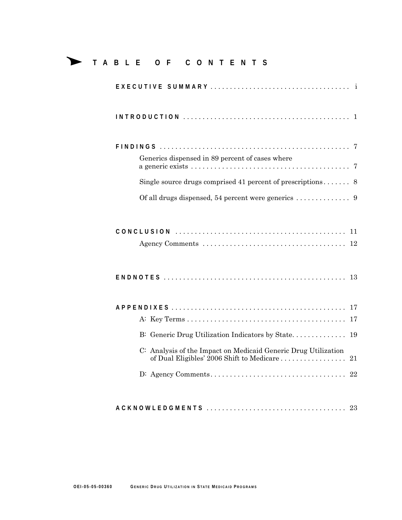### Δ **<sup>T</sup> ABLE OF CONTENTS**

| Generics dispensed in 89 percent of cases where                                                                   |
|-------------------------------------------------------------------------------------------------------------------|
|                                                                                                                   |
|                                                                                                                   |
|                                                                                                                   |
|                                                                                                                   |
|                                                                                                                   |
| 17                                                                                                                |
| B: Generic Drug Utilization Indicators by State<br>19                                                             |
| C: Analysis of the Impact on Medicaid Generic Drug Utilization<br>of Dual Eligibles' 2006 Shift to Medicare<br>21 |
|                                                                                                                   |
|                                                                                                                   |

**ACKN O W LEDGMENTS** .................................... 23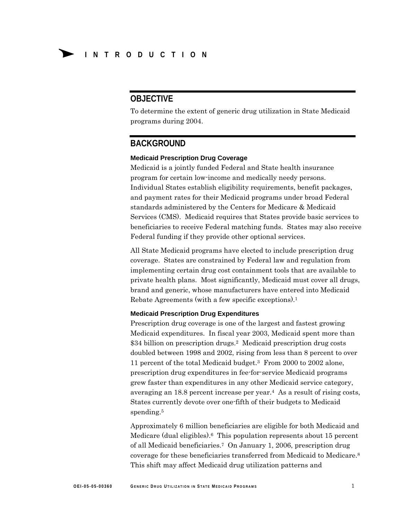#### **OBJECTIVE**

To determine the extent of generic drug utilization in State Medicaid programs during 2004.

#### **BACKGROUND**

#### **Medicaid Prescription Drug Coverage**

Medicaid is a jointly funded Federal and State health insurance program for certain low-income and medically needy persons. Individual States establish eligibility requirements, benefit packages, and payment rates for their Medicaid programs under broad Federal standards administered by the Centers for Medicare & Medicaid Services (CMS). Medicaid requires that States provide basic services to beneficiaries to receive Federal matching funds. States may also receive Federal funding if they provide other optional services.

All State Medicaid programs have elected to include prescription drug coverage. States are constrained by Federal law and regulation from implementing certain drug cost containment tools that are available to private health plans. Most significantly, Medicaid must cover all drugs, brand and generic, whose manufacturers have entered into Medicaid Rebate Agreements (with a few specific exceptions).1

#### **Medicaid Prescription Drug Expenditures**

Prescription drug coverage is one of the largest and fastest growing Medicaid expenditures. In fiscal year 2003, Medicaid spent more than \$34 billion on prescription drugs.2 Medicaid prescription drug costs doubled between 1998 and 2002, rising from less than 8 percent to over 11 percent of the total Medicaid budget.3 From 2000 to 2002 alone, prescription drug expenditures in fee-for-service Medicaid programs grew faster than expenditures in any other Medicaid service category, averaging an 18.8 percent increase per year.4 As a result of rising costs, States currently devote over one-fifth of their budgets to Medicaid spending.<sup>5</sup>

Approximately 6 million beneficiaries are eligible for both Medicaid and Medicare (dual eligibles).6 This population represents about 15 percent of all Medicaid beneficiaries.7 On January 1, 2006, prescription drug coverage for these beneficiaries transferred from Medicaid to Medicare.8 This shift may affect Medicaid drug utilization patterns and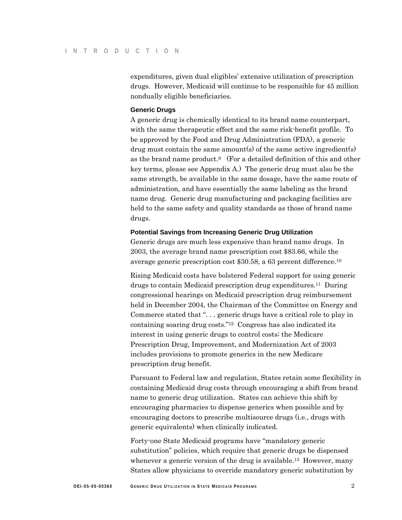expenditures, given dual eligibles' extensive utilization of prescription drugs. However, Medicaid will continue to be responsible for 45 million nondually eligible beneficiaries.

#### **Generic Drugs**

A generic drug is chemically identical to its brand name counterpart, with the same therapeutic effect and the same risk-benefit profile. To be approved by the Food and Drug Administration (FDA), a generic drug must contain the same amount(s) of the same active ingredient(s) as the brand name product.9 (For a detailed definition of this and other key terms, please see Appendix A.) The generic drug must also be the same strength, be available in the same dosage, have the same route of administration, and have essentially the same labeling as the brand name drug. Generic drug manufacturing and packaging facilities are held to the same safety and quality standards as those of brand name drugs.

#### **Potential Savings from Increasing Generic Drug Utilization**

Generic drugs are much less expensive than brand name drugs. In 2003, the average brand name prescription cost \$83.66, while the average generic prescription cost \$30.58, a 63 percent difference.10

Rising Medicaid costs have bolstered Federal support for using generic drugs to contain Medicaid prescription drug expenditures.11 During congressional hearings on Medicaid prescription drug reimbursement held in December 2004, the Chairman of the Committee on Energy and Commerce stated that ". . . generic drugs have a critical role to play in containing soaring drug costs."12 Congress has also indicated its interest in using generic drugs to control costs; the Medicare Prescription Drug, Improvement, and Modernization Act of 2003 includes provisions to promote generics in the new Medicare prescription drug benefit.

Pursuant to Federal law and regulation, States retain some flexibility in containing Medicaid drug costs through encouraging a shift from brand name to generic drug utilization. States can achieve this shift by encouraging pharmacies to dispense generics when possible and by encouraging doctors to prescribe multisource drugs (i.e., drugs with generic equivalents) when clinically indicated.

Forty-one State Medicaid programs have "mandatory generic substitution" policies, which require that generic drugs be dispensed whenever a generic version of the drug is available.<sup>13</sup> However, many States allow physicians to override mandatory generic substitution by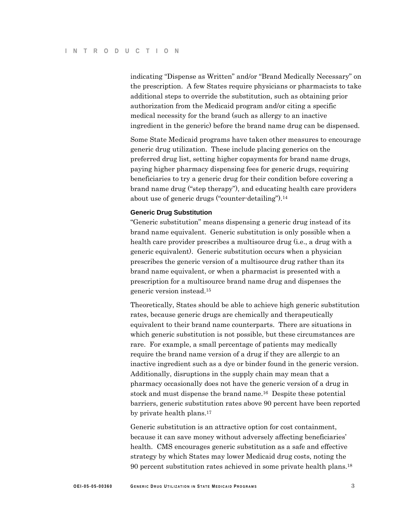indicating "Dispense as Written" and/or "Brand Medically Necessary" on the prescription. A few States require physicians or pharmacists to take additional steps to override the substitution, such as obtaining prior authorization from the Medicaid program and/or citing a specific medical necessity for the brand (such as allergy to an inactive ingredient in the generic) before the brand name drug can be dispensed.

Some State Medicaid programs have taken other measures to encourage generic drug utilization. These include placing generics on the preferred drug list, setting higher copayments for brand name drugs, paying higher pharmacy dispensing fees for generic drugs, requiring beneficiaries to try a generic drug for their condition before covering a brand name drug ("step therapy"), and educating health care providers about use of generic drugs ("counter-detailing").14

#### **Generic Drug Substitution**

"Generic substitution" means dispensing a generic drug instead of its brand name equivalent. Generic substitution is only possible when a health care provider prescribes a multisource drug (i.e., a drug with a generic equivalent). Generic substitution occurs when a physician prescribes the generic version of a multisource drug rather than its brand name equivalent, or when a pharmacist is presented with a prescription for a multisource brand name drug and dispenses the generic version instead.15

Theoretically, States should be able to achieve high generic substitution rates, because generic drugs are chemically and therapeutically equivalent to their brand name counterparts. There are situations in which generic substitution is not possible, but these circumstances are rare. For example, a small percentage of patients may medically require the brand name version of a drug if they are allergic to an inactive ingredient such as a dye or binder found in the generic version. Additionally, disruptions in the supply chain may mean that a pharmacy occasionally does not have the generic version of a drug in stock and must dispense the brand name.16 Despite these potential barriers, generic substitution rates above 90 percent have been reported by private health plans.17

Generic substitution is an attractive option for cost containment, because it can save money without adversely affecting beneficiaries' health. CMS encourages generic substitution as a safe and effective strategy by which States may lower Medicaid drug costs, noting the 90 percent substitution rates achieved in some private health plans.18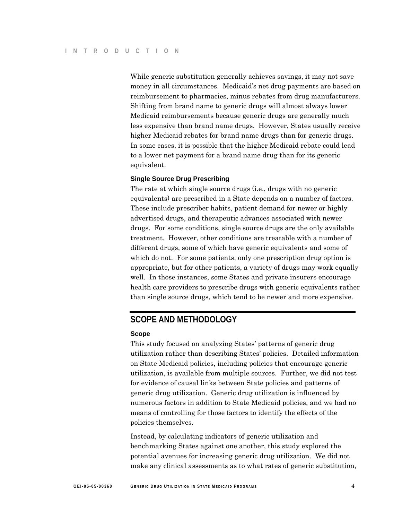While generic substitution generally achieves savings, it may not save money in all circumstances. Medicaid's net drug payments are based on reimbursement to pharmacies, minus rebates from drug manufacturers. Shifting from brand name to generic drugs will almost always lower Medicaid reimbursements because generic drugs are generally much less expensive than brand name drugs. However, States usually receive higher Medicaid rebates for brand name drugs than for generic drugs. In some cases, it is possible that the higher Medicaid rebate could lead to a lower net payment for a brand name drug than for its generic equivalent.

#### **Single Source Drug Prescribing**

The rate at which single source drugs (i.e., drugs with no generic equivalents) are prescribed in a State depends on a number of factors. These include prescriber habits, patient demand for newer or highly advertised drugs, and therapeutic advances associated with newer drugs. For some conditions, single source drugs are the only available treatment. However, other conditions are treatable with a number of different drugs, some of which have generic equivalents and some of which do not. For some patients, only one prescription drug option is appropriate, but for other patients, a variety of drugs may work equally well. In those instances, some States and private insurers encourage health care providers to prescribe drugs with generic equivalents rather than single source drugs, which tend to be newer and more expensive.

#### **SCOPE AND METHODOLOGY**

#### **Scope**

This study focused on analyzing States' patterns of generic drug utilization rather than describing States' policies. Detailed information on State Medicaid policies, including policies that encourage generic utilization, is available from multiple sources. Further, we did not test for evidence of causal links between State policies and patterns of generic drug utilization. Generic drug utilization is influenced by numerous factors in addition to State Medicaid policies, and we had no means of controlling for those factors to identify the effects of the policies themselves.

Instead, by calculating indicators of generic utilization and benchmarking States against one another, this study explored the potential avenues for increasing generic drug utilization. We did not make any clinical assessments as to what rates of generic substitution,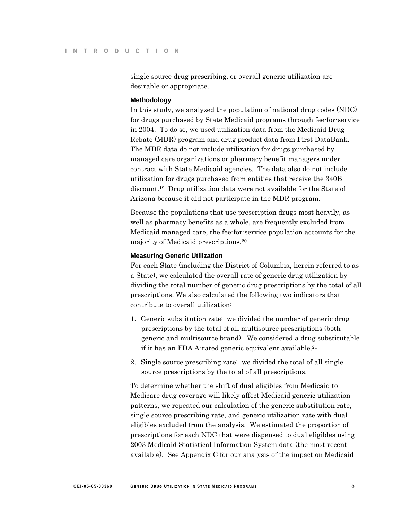single source drug prescribing, or overall generic utilization are desirable or appropriate.

#### **Methodology**

In this study, we analyzed the population of national drug codes (NDC) for drugs purchased by State Medicaid programs through fee-for-service in 2004. To do so, we used utilization data from the Medicaid Drug Rebate (MDR) program and drug product data from First DataBank. The MDR data do not include utilization for drugs purchased by managed care organizations or pharmacy benefit managers under contract with State Medicaid agencies. The data also do not include utilization for drugs purchased from entities that receive the 340B discount.19 Drug utilization data were not available for the State of Arizona because it did not participate in the MDR program.

Because the populations that use prescription drugs most heavily, as well as pharmacy benefits as a whole, are frequently excluded from Medicaid managed care, the fee-for-service population accounts for the majority of Medicaid prescriptions.20

#### **Measuring Generic Utilization**

For each State (including the District of Columbia, herein referred to as a State), we calculated the overall rate of generic drug utilization by dividing the total number of generic drug prescriptions by the total of all prescriptions. We also calculated the following two indicators that contribute to overall utilization:

- 1. Generic substitution rate: we divided the number of generic drug prescriptions by the total of all multisource prescriptions (both generic and multisource brand). We considered a drug substitutable if it has an FDA A-rated generic equivalent available.21
- 2. Single source prescribing rate: we divided the total of all single source prescriptions by the total of all prescriptions.

To determine whether the shift of dual eligibles from Medicaid to Medicare drug coverage will likely affect Medicaid generic utilization patterns, we repeated our calculation of the generic substitution rate, single source prescribing rate, and generic utilization rate with dual eligibles excluded from the analysis. We estimated the proportion of prescriptions for each NDC that were dispensed to dual eligibles using 2003 Medicaid Statistical Information System data (the most recent available). See Appendix C for our analysis of the impact on Medicaid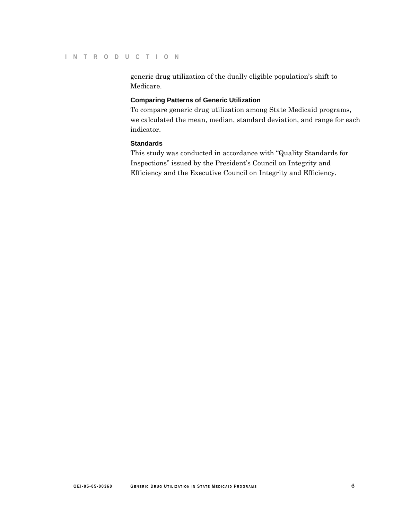generic drug utilization of the dually eligible population's shift to Medicare.

#### **Comparing Patterns of Generic Utilization**

To compare generic drug utilization among State Medicaid programs, we calculated the mean, median, standard deviation, and range for each indicator.

#### **Standards**

This study was conducted in accordance with "Quality Standards for Inspections" issued by the President's Council on Integrity and Efficiency and the Executive Council on Integrity and Efficiency.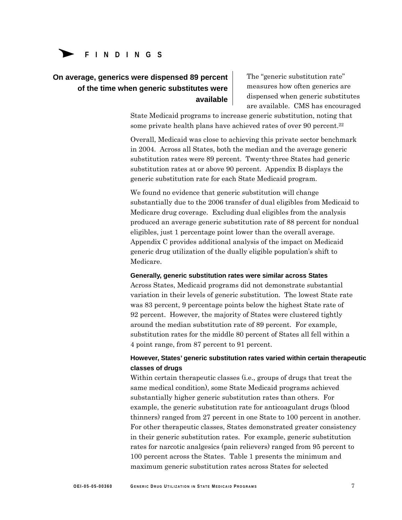# Δ**<sup>F</sup> <sup>I</sup> NDING <sup>S</sup> FINDINGS**

#### **On average, generics were dispensed 89 percent of the time when generic substitutes were available**

The "generic substitution rate" measures how often generics are dispensed when generic substitutes are available. CMS has encouraged

State Medicaid programs to increase generic substitution, noting that some private health plans have achieved rates of over 90 percent.22

Overall, Medicaid was close to achieving this private sector benchmark in 2004. Across all States, both the median and the average generic substitution rates were 89 percent. Twenty-three States had generic substitution rates at or above 90 percent. Appendix B displays the generic substitution rate for each State Medicaid program.

We found no evidence that generic substitution will change substantially due to the 2006 transfer of dual eligibles from Medicaid to Medicare drug coverage. Excluding dual eligibles from the analysis produced an average generic substitution rate of 88 percent for nondual eligibles, just 1 percentage point lower than the overall average. Appendix C provides additional analysis of the impact on Medicaid generic drug utilization of the dually eligible population's shift to Medicare.

#### **Generally, generic substitution rates were similar across States**

Across States, Medicaid programs did not demonstrate substantial variation in their levels of generic substitution. The lowest State rate was 83 percent, 9 percentage points below the highest State rate of 92 percent. However, the majority of States were clustered tightly around the median substitution rate of 89 percent. For example, substitution rates for the middle 80 percent of States all fell within a 4 point range, from 87 percent to 91 percent.

#### **However, States' generic substitution rates varied within certain therapeutic classes of drugs**

Within certain therapeutic classes (i.e., groups of drugs that treat the same medical condition), some State Medicaid programs achieved substantially higher generic substitution rates than others. For example, the generic substitution rate for anticoagulant drugs (blood thinners) ranged from 27 percent in one State to 100 percent in another. For other therapeutic classes, States demonstrated greater consistency in their generic substitution rates. For example, generic substitution rates for narcotic analgesics (pain relievers) ranged from 95 percent to 100 percent across the States. Table 1 presents the minimum and maximum generic substitution rates across States for selected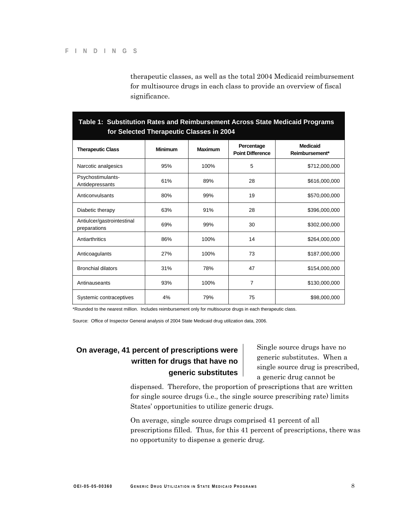therapeutic classes, as well as the total 2004 Medicaid reimbursement for multisource drugs in each class to provide an overview of fiscal significance.

| for Selected Therapeutic Classes in 2004   |                |                |                                       |                                   |
|--------------------------------------------|----------------|----------------|---------------------------------------|-----------------------------------|
| <b>Therapeutic Class</b>                   | <b>Minimum</b> | <b>Maximum</b> | Percentage<br><b>Point Difference</b> | <b>Medicaid</b><br>Reimbursement* |
| Narcotic analgesics                        | 95%            | 100%           | 5                                     | \$712,000,000                     |
| Psychostimulants-<br>Antidepressants       | 61%            | 89%            | 28                                    | \$616,000,000                     |
| Anticonvulsants                            | 80%            | 99%            | 19                                    | \$570,000,000                     |
| Diabetic therapy                           | 63%            | 91%            | 28                                    | \$396,000,000                     |
| Antiulcer/gastrointestinal<br>preparations | 69%            | 99%            | 30                                    | \$302,000,000                     |
| Antiarthritics                             | 86%            | 100%           | 14                                    | \$264,000,000                     |
| Anticoagulants                             | 27%            | 100%           | 73                                    | \$187,000,000                     |
| <b>Bronchial dilators</b>                  | 31%            | 78%            | 47                                    | \$154,000,000                     |
| Antinauseants                              | 93%            | 100%           | 7                                     | \$130,000,000                     |
| Systemic contraceptives                    | 4%             | 79%            | 75                                    | \$98,000,000                      |

# **Table 1: Substitution Rates and Reimbursement Across State Medicaid Programs**

\*Rounded to the nearest million. Includes reimbursement only for multisource drugs in each therapeutic class.

Source: Office of Inspector General analysis of 2004 State Medicaid drug utilization data, 2006.

#### **On average, 41 percent of prescriptions were written for drugs that have no generic substitutes**

Single source drugs have no generic substitutes. When a single source drug is prescribed, a generic drug cannot be

dispensed. Therefore, the proportion of prescriptions that are written for single source drugs (i.e., the single source prescribing rate) limits States' opportunities to utilize generic drugs.

On average, single source drugs comprised 41 percent of all prescriptions filled. Thus, for this 41 percent of prescriptions, there was no opportunity to dispense a generic drug.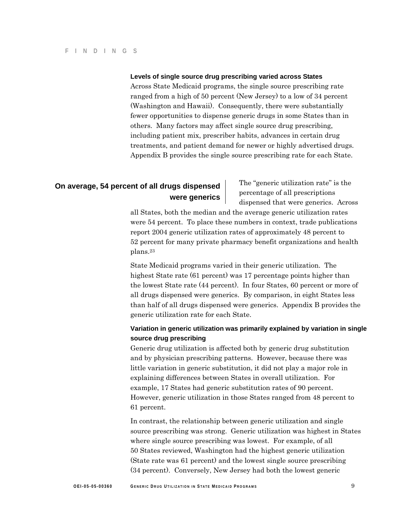#### **Levels of single source drug prescribing varied across States**

Across State Medicaid programs, the single source prescribing rate ranged from a high of 50 percent (New Jersey) to a low of 34 percent (Washington and Hawaii). Consequently, there were substantially fewer opportunities to dispense generic drugs in some States than in others. Many factors may affect single source drug prescribing, including patient mix, prescriber habits, advances in certain drug treatments, and patient demand for newer or highly advertised drugs. Appendix B provides the single source prescribing rate for each State.

# **On average, 54 percent of all drugs dispensed** The "generic utilization rate" is the **were generics were generics** dispensed that were generics. Across dispensed that were generics. Across

all States, both the median and the average generic utilization rates were 54 percent. To place these numbers in context, trade publications report 2004 generic utilization rates of approximately 48 percent to 52 percent for many private pharmacy benefit organizations and health plans.23

State Medicaid programs varied in their generic utilization. The highest State rate (61 percent) was 17 percentage points higher than the lowest State rate (44 percent). In four States, 60 percent or more of all drugs dispensed were generics. By comparison, in eight States less than half of all drugs dispensed were generics. Appendix B provides the generic utilization rate for each State.

#### **Variation in generic utilization was primarily explained by variation in single source drug prescribing**

Generic drug utilization is affected both by generic drug substitution and by physician prescribing patterns. However, because there was little variation in generic substitution, it did not play a major role in explaining differences between States in overall utilization. For example, 17 States had generic substitution rates of 90 percent. However, generic utilization in those States ranged from 48 percent to 61 percent.

In contrast, the relationship between generic utilization and single source prescribing was strong. Generic utilization was highest in States where single source prescribing was lowest. For example, of all 50 States reviewed, Washington had the highest generic utilization (State rate was 61 percent) and the lowest single source prescribing (34 percent). Conversely, New Jersey had both the lowest generic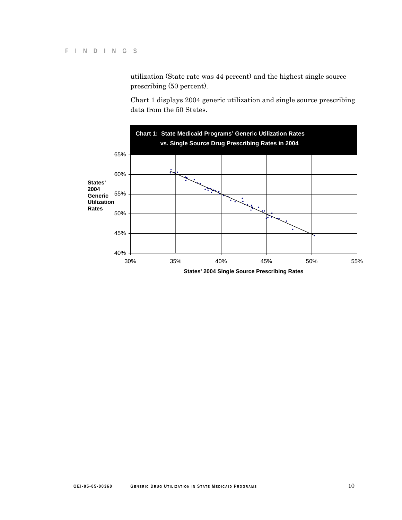utilization (State rate was 44 percent) and the highest single source prescribing (50 percent).

Chart 1 displays 2004 generic utilization and single source prescribing data from the 50 States.

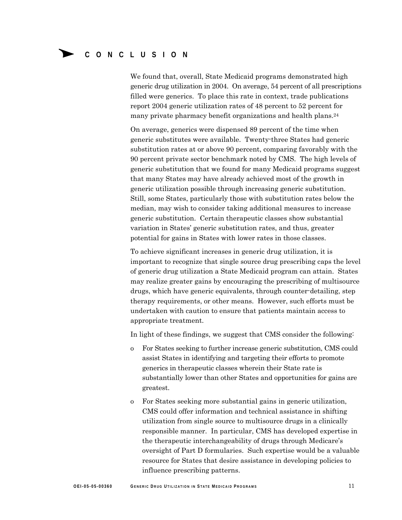We found that, overall, State Medicaid programs demonstrated high generic drug utilization in 2004. On average, 54 percent of all prescriptions filled were generics. To place this rate in context, trade publications report 2004 generic utilization rates of 48 percent to 52 percent for many private pharmacy benefit organizations and health plans.24

On average, generics were dispensed 89 percent of the time when generic substitutes were available. Twenty-three States had generic substitution rates at or above 90 percent, comparing favorably with the 90 percent private sector benchmark noted by CMS. The high levels of generic substitution that we found for many Medicaid programs suggest that many States may have already achieved most of the growth in generic utilization possible through increasing generic substitution. Still, some States, particularly those with substitution rates below the median, may wish to consider taking additional measures to increase generic substitution. Certain therapeutic classes show substantial variation in States' generic substitution rates, and thus, greater potential for gains in States with lower rates in those classes.

To achieve significant increases in generic drug utilization, it is important to recognize that single source drug prescribing caps the level of generic drug utilization a State Medicaid program can attain. States may realize greater gains by encouraging the prescribing of multisource drugs, which have generic equivalents, through counter-detailing, step therapy requirements, or other means. However, such efforts must be undertaken with caution to ensure that patients maintain access to appropriate treatment.

In light of these findings, we suggest that CMS consider the following:

- o For States seeking to further increase generic substitution, CMS could assist States in identifying and targeting their efforts to promote generics in therapeutic classes wherein their State rate is substantially lower than other States and opportunities for gains are greatest.
- o For States seeking more substantial gains in generic utilization, CMS could offer information and technical assistance in shifting utilization from single source to multisource drugs in a clinically responsible manner. In particular, CMS has developed expertise in the therapeutic interchangeability of drugs through Medicare's oversight of Part D formularies. Such expertise would be a valuable resource for States that desire assistance in developing policies to influence prescribing patterns.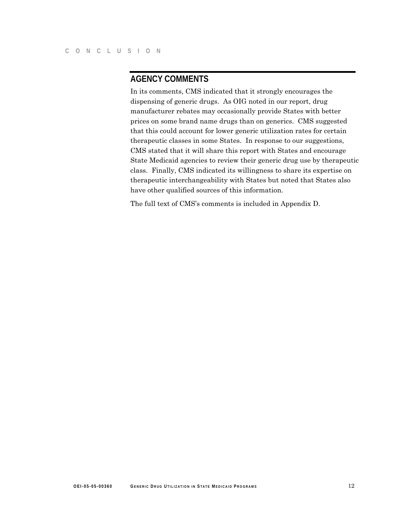#### **AGENCY COMMENTS**

In its comments, CMS indicated that it strongly encourages the dispensing of generic drugs. As OIG noted in our report, drug manufacturer rebates may occasionally provide States with better prices on some brand name drugs than on generics. CMS suggested that this could account for lower generic utilization rates for certain therapeutic classes in some States. In response to our suggestions, CMS stated that it will share this report with States and encourage State Medicaid agencies to review their generic drug use by therapeutic class. Finally, CMS indicated its willingness to share its expertise on therapeutic interchangeability with States but noted that States also have other qualified sources of this information.

The full text of CMS's comments is included in Appendix D.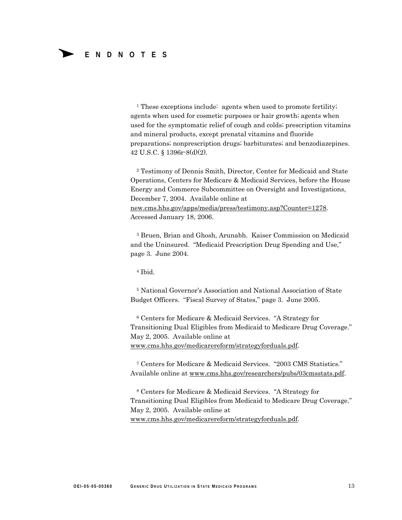<sup>1</sup> These exceptions include: agents when used to promote fertility; agents when used for cosmetic purposes or hair growth; agents when used for the symptomatic relief of cough and colds; prescription vitamins and mineral products, except prenatal vitamins and fluoride preparations; nonprescription drugs; barbiturates; and benzodiazepines. 42 U.S.C. § 1396r-8(d)(2).

2 Testimony of Dennis Smith, Director, Center for Medicaid and State Operations, Centers for Medicare & Medicaid Services, before the House Energy and Commerce Subcommittee on Oversight and Investigations, December 7, 2004. Available online at new.cms.hhs.gov/apps/media/press/testimony.asp?Counter=1278. Accessed January 18, 2006.

3 Bruen, Brian and Ghosh, Arunabh. Kaiser Commission on Medicaid and the Uninsured. "Medicaid Prescription Drug Spending and Use," page 3. June 2004.

4 Ibid.

5 National Governor's Association and National Association of State Budget Officers. "Fiscal Survey of States," page 3. June 2005.

6 Centers for Medicare & Medicaid Services. "A Strategy for Transitioning Dual Eligibles from Medicaid to Medicare Drug Coverage." May 2, 2005. Available online at www.cms.hhs.gov/medicarereform/strategyforduals.pdf.

7 Centers for Medicare & Medicaid Services. "2003 CMS Statistics." Available online at www.cms.hhs.gov/researchers/pubs/03cmsstats.pdf.

8 Centers for Medicare & Medicaid Services. "A Strategy for Transitioning Dual Eligibles from Medicaid to Medicare Drug Coverage." May 2, 2005. Available online at www.cms.hhs.gov/medicarereform/strategyforduals.pdf.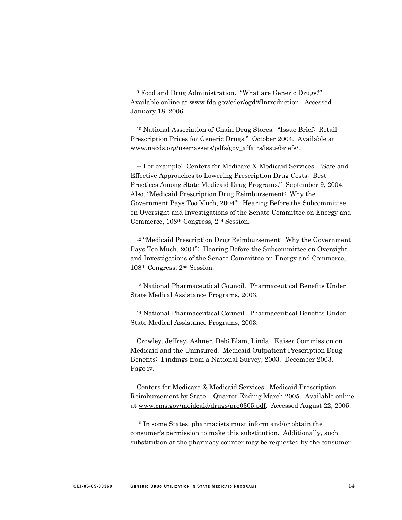9 Food and Drug Administration. "What are Generic Drugs?" Available online at www.fda.gov/cder/ogd/#Introduction. Accessed January 18, 2006.

10 National Association of Chain Drug Stores. "Issue Brief: Retail Prescription Prices for Generic Drugs." October 2004. Available at www.nacds.org/user-assets/pdfs/gov\_affairs/issuebriefs/.

11 For example: Centers for Medicare & Medicaid Services. "Safe and Effective Approaches to Lowering Prescription Drug Costs: Best Practices Among State Medicaid Drug Programs." September 9, 2004. Also, "Medicaid Prescription Drug Reimbursement: Why the Government Pays Too Much, 2004": Hearing Before the Subcommittee on Oversight and Investigations of the Senate Committee on Energy and Commerce, 108th Congress, 2nd Session.

12 "Medicaid Prescription Drug Reimbursement: Why the Government Pays Too Much, 2004": Hearing Before the Subcommittee on Oversight and Investigations of the Senate Committee on Energy and Commerce, 108th Congress, 2nd Session.

13 National Pharmaceutical Council. Pharmaceutical Benefits Under State Medical Assistance Programs, 2003.

14 National Pharmaceutical Council. Pharmaceutical Benefits Under State Medical Assistance Programs, 2003.

Crowley, Jeffrey; Ashner, Deb; Elam, Linda. Kaiser Commission on Medicaid and the Uninsured. Medicaid Outpatient Prescription Drug Benefits: Findings from a National Survey, 2003. December 2003. Page iv.

Centers for Medicare & Medicaid Services. Medicaid Prescription Reimbursement by State – Quarter Ending March 2005. Available online at www.cms.gov/meidcaid/drugs/pre0305.pdf. Accessed August 22, 2005.

15 In some States, pharmacists must inform and/or obtain the consumer's permission to make this substitution. Additionally, such substitution at the pharmacy counter may be requested by the consumer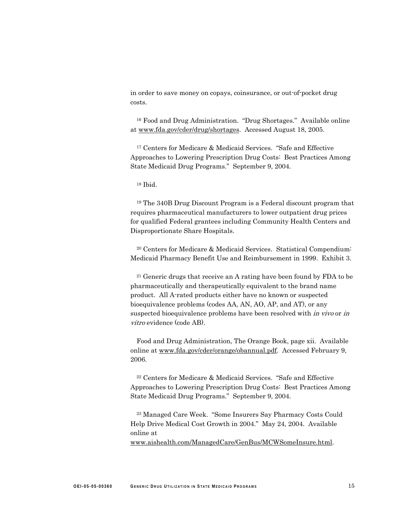in order to save money on copays, coinsurance, or out-of-pocket drug costs.

16 Food and Drug Administration. "Drug Shortages." Available online at www.fda.gov/cder/drug/shortages. Accessed August 18, 2005.

17 Centers for Medicare & Medicaid Services. "Safe and Effective Approaches to Lowering Prescription Drug Costs: Best Practices Among State Medicaid Drug Programs." September 9, 2004.

18 Ibid.

19 The 340B Drug Discount Program is a Federal discount program that requires pharmaceutical manufacturers to lower outpatient drug prices for qualified Federal grantees including Community Health Centers and Disproportionate Share Hospitals.

20 Centers for Medicare & Medicaid Services. Statistical Compendium: Medicaid Pharmacy Benefit Use and Reimbursement in 1999. Exhibit 3.

21 Generic drugs that receive an A rating have been found by FDA to be pharmaceutically and therapeutically equivalent to the brand name product. All A-rated products either have no known or suspected bioequivalence problems (codes AA, AN, AO, AP, and AT), or any suspected bioequivalence problems have been resolved with *in vivo* or *in* vitro evidence (code AB).

Food and Drug Administration, The Orange Book, page xii. Available online at www.fda.gov/cder/orange/obannual.pdf. Accessed February 9, 2006.

22 Centers for Medicare & Medicaid Services. "Safe and Effective Approaches to Lowering Prescription Drug Costs: Best Practices Among State Medicaid Drug Programs." September 9, 2004.

23 Managed Care Week. "Some Insurers Say Pharmacy Costs Could Help Drive Medical Cost Growth in 2004." May 24, 2004. Available online at

www.aishealth.com/ManagedCare/GenBus/MCWSomeInsure.html.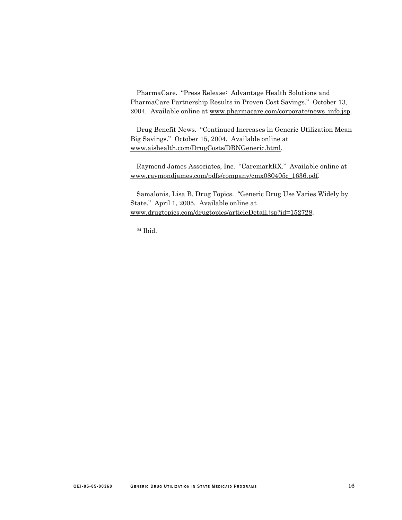PharmaCare. "Press Release: Advantage Health Solutions and PharmaCare Partnership Results in Proven Cost Savings." October 13, 2004. Available online at www.pharmacare.com/corporate/news\_info.jsp.

Drug Benefit News. "Continued Increases in Generic Utilization Mean Big Savings." October 15, 2004. Available online at www.aishealth.com/DrugCosts/DBNGeneric.html.

Raymond James Associates, Inc. "CaremarkRX." Available online at www.raymondjames.com/pdfs/company/cmx080405c\_1636.pdf.

Samalonis, Lisa B. Drug Topics. "Generic Drug Use Varies Widely by State." April 1, 2005. Available online at www.drugtopics.com/drugtopics/articleDetail.jsp?id=152728.

24 Ibid.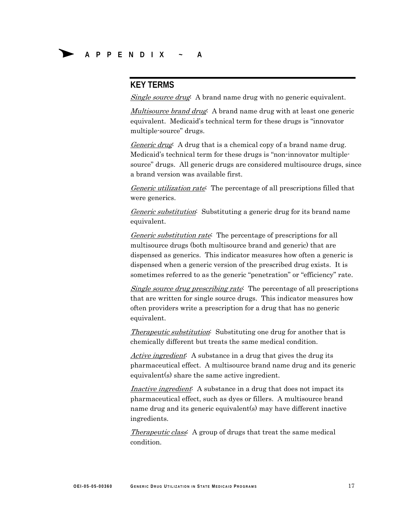#### **KEY TERMS**

Single source drug<sup>:</sup> A brand name drug with no generic equivalent.

Multisource brand drug: A brand name drug with at least one generic equivalent. Medicaid's technical term for these drugs is "innovator multiple-source" drugs.

Generic drug: A drug that is a chemical copy of a brand name drug. Medicaid's technical term for these drugs is "non-innovator multiplesource" drugs. All generic drugs are considered multisource drugs, since a brand version was available first.

Generic utilization rate: The percentage of all prescriptions filled that were generics.

Generic substitution: Substituting a generic drug for its brand name equivalent.

Generic substitution rate: The percentage of prescriptions for all multisource drugs (both multisource brand and generic) that are dispensed as generics. This indicator measures how often a generic is dispensed when a generic version of the prescribed drug exists. It is sometimes referred to as the generic "penetration" or "efficiency" rate.

Single source drug prescribing rate<sup>:</sup> The percentage of all prescriptions that are written for single source drugs. This indicator measures how often providers write a prescription for a drug that has no generic equivalent.

*Therapeutic substitution*: Substituting one drug for another that is chemically different but treats the same medical condition.

Active ingredient: A substance in a drug that gives the drug its pharmaceutical effect. A multisource brand name drug and its generic equivalent(s) share the same active ingredient.

Inactive ingredient. A substance in a drug that does not impact its pharmaceutical effect, such as dyes or fillers. A multisource brand name drug and its generic equivalent(s) may have different inactive ingredients.

Therapeutic class<sup>:</sup> A group of drugs that treat the same medical condition.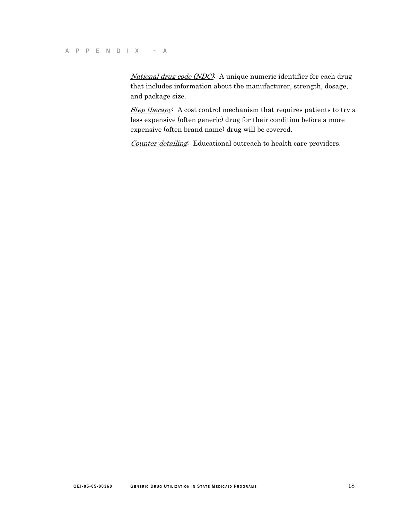National drug code (NDC): A unique numeric identifier for each drug that includes information about the manufacturer, strength, dosage, and package size.

Step therapy: A cost control mechanism that requires patients to try a less expensive (often generic) drug for their condition before a more expensive (often brand name) drug will be covered.

Counter-detailing: Educational outreach to health care providers.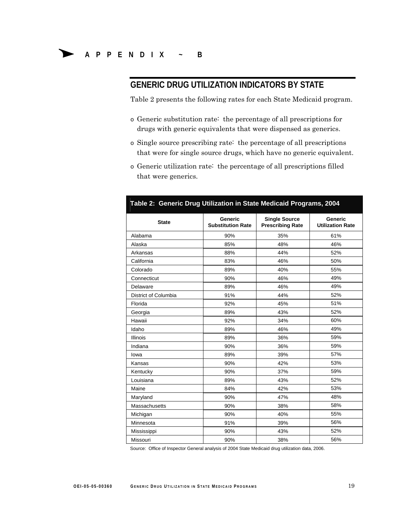#### **GENERIC DRUG UTILIZATION INDICATORS BY STATE**

Table 2 presents the following rates for each State Medicaid program.

- o Generic substitution rate: the percentage of all prescriptions for drugs with generic equivalents that were dispensed as generics.
- o Single source prescribing rate: the percentage of all prescriptions that were for single source drugs, which have no generic equivalent.
- o Generic utilization rate: the percentage of all prescriptions filled that were generics.

| Table 2: Generic Drug Utilization in State Medicaid Programs, 2004 |                                            |                                                 |                                           |  |
|--------------------------------------------------------------------|--------------------------------------------|-------------------------------------------------|-------------------------------------------|--|
| <b>State</b>                                                       | <b>Generic</b><br><b>Substitution Rate</b> | <b>Single Source</b><br><b>Prescribing Rate</b> | <b>Generic</b><br><b>Utilization Rate</b> |  |
| Alabama                                                            | 90%                                        | 35%                                             | 61%                                       |  |
| Alaska                                                             | 85%                                        | 48%                                             | 46%                                       |  |
| Arkansas                                                           | 88%                                        | 44%                                             | 52%                                       |  |
| California                                                         | 83%                                        | 46%                                             | 50%                                       |  |
| Colorado                                                           | 89%                                        | 40%                                             | 55%                                       |  |
| Connecticut                                                        | 90%                                        | 46%                                             | 49%                                       |  |
| Delaware                                                           | 89%                                        | 46%                                             | 49%                                       |  |
| District of Columbia                                               | 91%                                        | 44%                                             | 52%                                       |  |
| Florida                                                            | 92%                                        | 45%                                             | 51%                                       |  |
| Georgia                                                            | 89%                                        | 43%                                             | 52%                                       |  |
| Hawaii                                                             | 92%                                        | 34%                                             | 60%                                       |  |
| Idaho                                                              | 89%                                        | 46%                                             | 49%                                       |  |
| <b>Illinois</b>                                                    | 89%                                        | 36%                                             | 59%                                       |  |
| Indiana                                                            | 90%                                        | 36%                                             | 59%                                       |  |
| lowa                                                               | 89%                                        | 39%                                             | 57%                                       |  |
| Kansas                                                             | 90%                                        | 42%                                             | 53%                                       |  |
| Kentucky                                                           | 90%                                        | 37%                                             | 59%                                       |  |
| Louisiana                                                          | 89%                                        | 43%                                             | 52%                                       |  |
| Maine                                                              | 84%                                        | 42%                                             | 53%                                       |  |
| Maryland                                                           | 90%                                        | 47%                                             | 48%                                       |  |
| Massachusetts                                                      | 90%                                        | 38%                                             | 58%                                       |  |
| Michigan                                                           | 90%                                        | 40%                                             | 55%                                       |  |
| Minnesota                                                          | 91%                                        | 39%                                             | 56%                                       |  |
| Mississippi                                                        | 90%                                        | 43%                                             | 52%                                       |  |
| Missouri                                                           | 90%                                        | 38%                                             | 56%                                       |  |

Source: Office of Inspector General analysis of 2004 State Medicaid drug utilization data, 2006.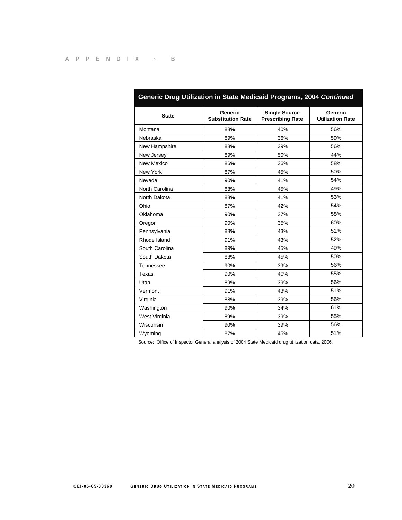| Generic Drug Utilization in State Medicaid Programs, 2004 Continued |                                            |                                                 |                                           |  |
|---------------------------------------------------------------------|--------------------------------------------|-------------------------------------------------|-------------------------------------------|--|
| <b>State</b>                                                        | <b>Generic</b><br><b>Substitution Rate</b> | <b>Single Source</b><br><b>Prescribing Rate</b> | <b>Generic</b><br><b>Utilization Rate</b> |  |
| Montana                                                             | 88%                                        | 40%                                             | 56%                                       |  |
| Nebraska                                                            | 89%                                        | 36%                                             | 59%                                       |  |
| New Hampshire                                                       | 88%                                        | 39%                                             | 56%                                       |  |
| New Jersey                                                          | 89%                                        | 50%                                             | 44%                                       |  |
| New Mexico                                                          | 86%                                        | 36%                                             | 58%                                       |  |
| New York                                                            | 87%                                        | 45%                                             | 50%                                       |  |
| Nevada                                                              | 90%                                        | 41%                                             | 54%                                       |  |
| North Carolina                                                      | 88%                                        | 45%                                             | 49%                                       |  |
| North Dakota                                                        | 88%                                        | 41%                                             | 53%                                       |  |
| Ohio                                                                | 87%                                        | 42%                                             | 54%                                       |  |
| Oklahoma                                                            | 90%                                        | 37%                                             | 58%                                       |  |
| Oregon                                                              | 90%                                        | 35%                                             | 60%                                       |  |
| Pennsylvania                                                        | 88%                                        | 43%                                             | 51%                                       |  |
| Rhode Island                                                        | 91%                                        | 43%                                             | 52%                                       |  |
| South Carolina                                                      | 89%                                        | 45%                                             | 49%                                       |  |
| South Dakota                                                        | 88%                                        | 45%                                             | 50%                                       |  |
| Tennessee                                                           | 90%                                        | 39%                                             | 56%                                       |  |
| Texas                                                               | 90%                                        | 40%                                             | 55%                                       |  |
| Utah                                                                | 89%                                        | 39%                                             | 56%                                       |  |
| Vermont                                                             | 91%                                        | 43%                                             | 51%                                       |  |
| Virginia                                                            | 88%                                        | 39%                                             | 56%                                       |  |
| Washington                                                          | 90%                                        | 34%                                             | 61%                                       |  |
| West Virginia                                                       | 89%                                        | 39%                                             | 55%                                       |  |
| Wisconsin                                                           | 90%                                        | 39%                                             | 56%                                       |  |
| Wyoming                                                             | 87%                                        | 45%                                             | 51%                                       |  |

Source: Office of Inspector General analysis of 2004 State Medicaid drug utilization data, 2006.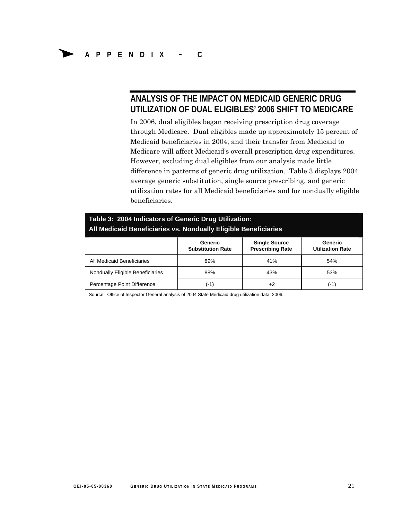#### **ANALYSIS OF THE IMPACT ON MEDICAID GENERIC DRUG UTILIZATION OF DUAL ELIGIBLES' 2006 SHIFT TO MEDICARE**

In 2006, dual eligibles began receiving prescription drug coverage through Medicare. Dual eligibles made up approximately 15 percent of Medicaid beneficiaries in 2004, and their transfer from Medicaid to Medicare will affect Medicaid's overall prescription drug expenditures. However, excluding dual eligibles from our analysis made little difference in patterns of generic drug utilization. Table 3 displays 2004 average generic substitution, single source prescribing, and generic utilization rates for all Medicaid beneficiaries and for nondually eligible beneficiaries.

| Table 3: 2004 Indicators of Generic Drug Utilization:<br>All Medicaid Beneficiaries vs. Nondually Eligible Beneficiaries |                                     |                                                 |                                    |  |  |
|--------------------------------------------------------------------------------------------------------------------------|-------------------------------------|-------------------------------------------------|------------------------------------|--|--|
|                                                                                                                          | Generic<br><b>Substitution Rate</b> | <b>Single Source</b><br><b>Prescribing Rate</b> | Generic<br><b>Utilization Rate</b> |  |  |
| All Medicaid Beneficiaries                                                                                               | 89%                                 | 41%                                             | 54%                                |  |  |
| Nondually Eligible Beneficiaries                                                                                         | 88%                                 | 43%                                             | 53%                                |  |  |
| Percentage Point Difference                                                                                              | (-1)                                | $+2$                                            | (-1)                               |  |  |

Source: Office of Inspector General analysis of 2004 State Medicaid drug utilization data, 2006.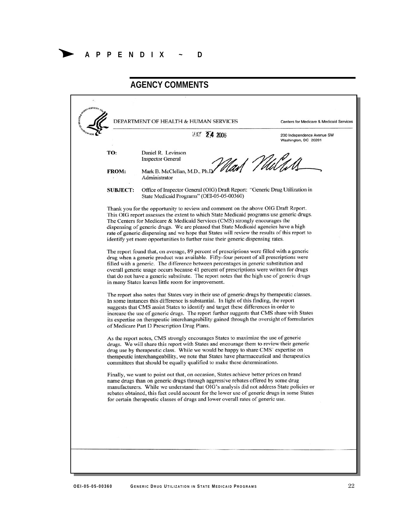**AGENCY COMMENTS** DEPARTMENT OF HEALTH & HUMAN SERVICES Centers for Medicare & Medicaid Services MAY 24 2006 200 Independence Avenue SW Washington, DC 20201 TO: Daniel R. Levinson **Inspector General** lad *Vl*uGd FROM: Mark B. McClellan, M.D., Ph Administrator Office of Inspector General (OIG) Draft Report: "Generic Drug Utilization in **SUBJECT:** State Medicaid Programs" (OEI-05-05-00360) Thank you for the opportunity to review and comment on the above OIG Draft Report. This OIG report assesses the extent to which State Medicaid programs use generic drugs. The Centers for Medicare & Medicaid Services (CMS) strongly encourages the dispensing of generic drugs. We are pleased that State Medicaid agencies have a high rate of generic dispensing and we hope that States will review the results of this report to identify yet more opportunities to further raise their generic dispensing rates. The report found that, on average, 89 percent of prescriptions were filled with a generic drug when a generic product was available. Fifty-four percent of all prescriptions were filled with a generic. The difference between percentages in generic substitution and overall generic usage occurs because 41 percent of prescriptions were written for drugs that do not have a generic substitute. The report notes that the high use of generic drugs in many States leaves little room for improvement. The report also notes that States vary in their use of generic drugs by therapeutic classes. In some instances this difference is substantial. In light of this finding, the report suggests that CMS assist States to identify and target these differences in order to increase the use of generic drugs. The report further suggests that CMS share with States its expertise on therapeutic interchangeability gained through the oversight of formularies of Medicare Part D Prescription Drug Plans. As the report notes, CMS strongly encourages States to maximize the use of generic drugs. We will share this report with States and encourage them to review their generic drug use by therapeutic class. While we would be happy to share CMS' expertise on therapeutic interchangeability, we note that States have pharmaceutical and therapeutics committees that should be equally qualified to make these determinations. Finally, we want to point out that, on occasion, States achieve better prices on brand name drugs than on generic drugs through aggressive rebates offered by some drug manufacturers. While we understand that OIG's analysis did not address State policies or rebates obtained, this fact could account for the lower use of generic drugs in some States for certain therapeutic classes of drugs and lower overall rates of generic use.